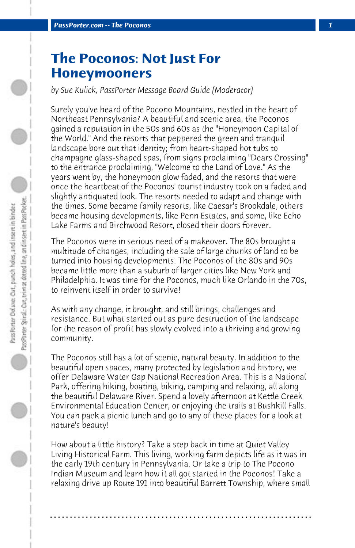## **The Poconos: Not Just For Honeymooners**

*by Sue Kulick, PassPorter Message Board Guide (Moderator)*

Surely you've heard of the Pocono Mountains, nestled in the heart of Northeast Pennsylvania? A beautiful and scenic area, the Poconos gained a reputation in the 50s and 60s as the "Honeymoon Capital of the World." And the resorts that peppered the green and tranquil landscape bore out that identity; from heart-shaped hot tubs to champagne glass-shaped spas, from signs proclaiming "Dears Crossing" to the entrance proclaiming, "Welcome to the Land of Love." As the years went by, the honeymoon glow faded, and the resorts that were once the heartbeat of the Poconos' tourist industry took on a faded and slightly antiquated look. The resorts needed to adapt and change with the times. Some became family resorts, like Caesar's Brookdale, others became housing developments, like Penn Estates, and some, like Echo Lake Farms and Birchwood Resort, closed their doors forever.

The Poconos were in serious need of a makeover. The 80s brought a multitude of changes, including the sale of large chunks of land to be turned into housing developments. The Poconos of the 80s and 90s became little more than a suburb of larger cities like New York and Philadelphia. It was time for the Poconos, much like Orlando in the 70s, to reinvent itself in order to survive!

As with any change, it brought, and still brings, challenges and resistance. But what started out as pure destruction of the landscape for the reason of profit has slowly evolved into a thriving and growing community.

The Poconos still has a lot of scenic, natural beauty. In addition to the beautiful open spaces, many protected by legislation and history, we offer Delaware Water Gap National Recreation Area. This is a National Park, offering hiking, boating, biking, camping and relaxing, all along the beautiful Delaware River. Spend a lovely afternoon at Kettle Creek Environmental Education Center, or enjoying the trails at Bushkill Falls. You can pack a picnic lunch and go to any of these places for a look at nature's beauty!

How about a little history? Take a step back in time at Quiet Valley Living Historical Farm. This living, working farm depicts life as it was in the early 19th century in Pennsylvania. Or take a trip to The Pocono Indian Museum and learn how it all got started in the Poconos! Take a relaxing drive up Route 191 into beautiful Barrett Township, where small

**. . . . . . . . . . . . . . . . . . . . . . . . . . . . . . . . . . . . . . . . . . . . . . . . . . . . . . . . . . . . . . . . . .**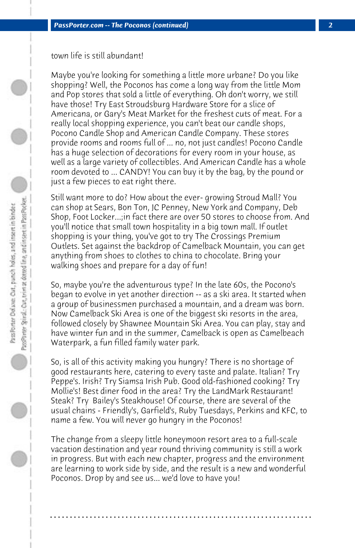town life is still abundant!

Maybe you're looking for something a little more urbane? Do you like shopping? Well, the Poconos has come a long way from the little Mom and Pop stores that sold a little of everything. Oh don't worry, we still have those! Try East Stroudsburg Hardware Store for a slice of Americana, or Gary's Meat Market for the freshest cuts of meat. For a really local shopping experience, you can't beat our candle shops, Pocono Candle Shop and American Candle Company. These stores provide rooms and rooms full of ... no, not just candles! Pocono Candle has a huge selection of decorations for every room in your house, as well as a large variety of collectibles. And American Candle has a whole room devoted to ... CANDY! You can buy it by the bag, by the pound or just a few pieces to eat right there.

Still want more to do? How about the ever- growing Stroud Mall? You can shop at Sears, Bon Ton, JC Penney, New York and Company, Deb Shop, Foot Locker...;in fact there are over 50 stores to choose from. And you'll notice that small town hospitality in a big town mall. If outlet shopping is your thing, you've got to try The Crossings Premium Outlets. Set against the backdrop of Camelback Mountain, you can get anything from shoes to clothes to china to chocolate. Bring your walking shoes and prepare for a day of fun!

So, maybe you're the adventurous type? In the late 60s, the Pocono's began to evolve in yet another direction -- as a ski area. It started when a group of businessmen purchased a mountain, and a dream was born. Now Camelback Ski Area is one of the biggest ski resorts in the area, followed closely by Shawnee Mountain Ski Area. You can play, stay and have winter fun and in the summer, Camelback is open as Camelbeach Waterpark, a fun filled family water park.

So, is all of this activity making you hungry? There is no shortage of good restaurants here, catering to every taste and palate. Italian? Try Peppe's. Irish? Try Siamsa Irish Pub. Good old-fashioned cooking? Try Mollie's! Best diner food in the area? Try the LandMark Restaurant! Steak? Try Bailey's Steakhouse! Of course, there are several of the usual chains - Friendly's, Garfield's, Ruby Tuesdays, Perkins and KFC, to name a few. You will never go hungry in the Poconos!

The change from a sleepy little honeymoon resort area to a full-scale vacation destination and year round thriving community is still a work in progress. But with each new chapter, progress and the environment are learning to work side by side, and the result is a new and wonderful Poconos. Drop by and see us... we'd love to have you!

**. . . . . . . . . . . . . . . . . . . . . . . . . . . . . . . . . . . . . . . . . . . . . . . . . . . . . . . . . . . . . . . . . .**